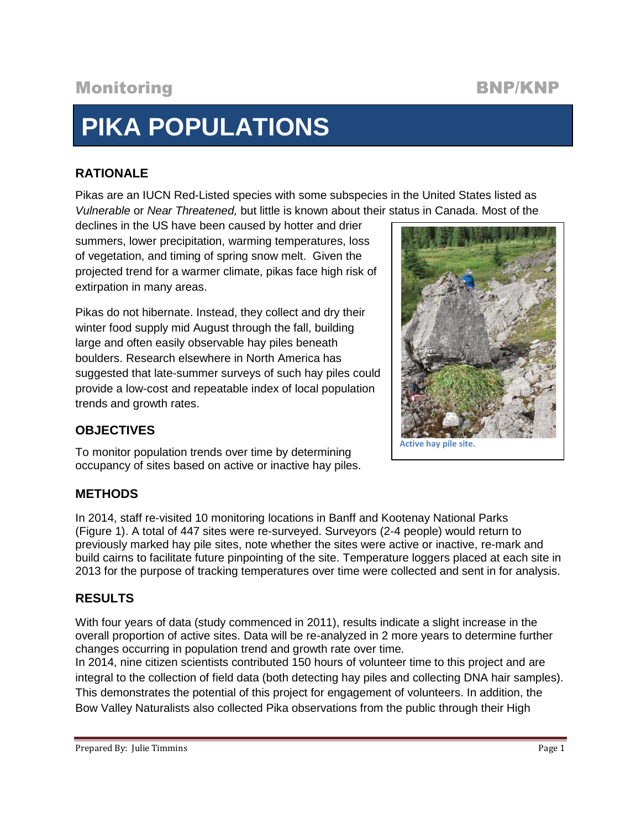# Monitoring BNP/KNP

# **PIKA POPULATIONS**

# **RATIONALE**

Pikas are an IUCN Red-Listed species with some subspecies in the United States listed as *Vulnerable* or *Near Threatened,* but little is known about their status in Canada. Most of the

declines in the US have been caused by hotter and drier summers, lower precipitation, warming temperatures, loss of vegetation, and timing of spring snow melt. Given the projected trend for a warmer climate, pikas face high risk of extirpation in many areas.

Pikas do not hibernate. Instead, they collect and dry their winter food supply mid August through the fall, building large and often easily observable hay piles beneath boulders. Research elsewhere in North America has suggested that late-summer surveys of such hay piles could provide a low-cost and repeatable index of local population trends and growth rates.



# **OBJECTIVES**

To monitor population trends over time by determining occupancy of sites based on active or inactive hay piles.

# **METHODS**

In 2014, staff re-visited 10 monitoring locations in Banff and Kootenay National Parks (Figure 1). A total of 447 sites were re-surveyed. Surveyors (2-4 people) would return to previously marked hay pile sites, note whether the sites were active or inactive, re-mark and build cairns to facilitate future pinpointing of the site. Temperature loggers placed at each site in 2013 for the purpose of tracking temperatures over time were collected and sent in for analysis.

# **RESULTS**

With four years of data (study commenced in 2011), results indicate a slight increase in the overall proportion of active sites. Data will be re-analyzed in 2 more years to determine further changes occurring in population trend and growth rate over time.

In 2014, nine citizen scientists contributed 150 hours of volunteer time to this project and are integral to the collection of field data (both detecting hay piles and collecting DNA hair samples). This demonstrates the potential of this project for engagement of volunteers. In addition, the Bow Valley Naturalists also collected Pika observations from the public through their High